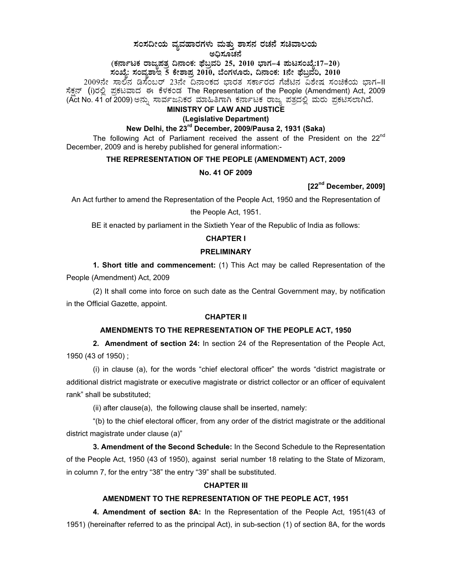## $\,$ ಸಂಸದೀಯ ವ್ಯವಹಾರಗಳು ಮತ್ತು ಶಾಸನ ರಚನೆ ಸಚಿವಾಲಯ ಅಧಿಸೂಚನೆ

# (ಕರ್ನಾಟಕ ರಾಜ್ಯಪತ್ರ ದಿನಾಂಕ: ಫೆಬ್ರವರಿ 25, 2010 ಭಾಗ–4 **ಮಟಸಂಖ್ಯೆ:17–20**) **¸ÀASÉå: ¸ÀAªÀå±ÁE 5 PÉñÁ¥Àæ 2010, ¨ÉAUÀ¼ÀÆgÀÄ, ¢£ÁAPÀ: 1£Éà ¥sɧæªÀj, 2010**

2009ನೇ ಸಾಲಿನ ಡಿಸೆಂಬರ್ 23ನೇ ದಿನಾಂಕದ ಭಾರತ ಸರ್ಕಾರದ ಗೆಜೆಟಿನ ವಿಶೇಷ ಸಂಚಿಕೆಯ ಭಾಗ−II ಸೆಕನ್ (i)ರಲಿ ಪಕಟವಾದ ಈ ಕೆಳಕಂಡ The Representation of the People (Amendment) Act, 2009 (Act No. 41 of 2009) ಅನ್ಸು ಸಾರ್ವಜನಿಕರ ಮಾಹಿತಿಗಾಗಿ ಕರ್ನಾಟಕ ರಾಜ್ಯ ಪತ್ರದಲ್ಲಿ ಮರು ಪ್ರಕಟಿಸಲಾಗಿದೆ.

# **MINISTRY OF LAW AND JUSTICE**

# **(Legislative Department)**

## **New Delhi, the 23rd December, 2009/Pausa 2, 1931 (Saka)**

The following Act of Parliament received the assent of the President on the  $22<sup>nd</sup>$ December, 2009 and is hereby published for general information:-

#### **THE REPRESENTATION OF THE PEOPLE (AMENDMENT) ACT, 2009**

#### **No. 41 OF 2009**

**[22nd December, 2009]** 

An Act further to amend the Representation of the People Act, 1950 and the Representation of

the People Act, 1951.

BE it enacted by parliament in the Sixtieth Year of the Republic of India as follows:

#### **CHAPTER I**

#### **PRELIMINARY**

**1. Short title and commencement:** (1) This Act may be called Representation of the People (Amendment) Act, 2009

(2) It shall come into force on such date as the Central Government may, by notification in the Official Gazette, appoint.

#### **CHAPTER II**

#### **AMENDMENTS TO THE REPRESENTATION OF THE PEOPLE ACT, 1950**

**2. Amendment of section 24:** In section 24 of the Representation of the People Act, 1950 (43 of 1950) ;

 (i) in clause (a), for the words "chief electoral officer" the words "district magistrate or additional district magistrate or executive magistrate or district collector or an officer of equivalent rank" shall be substituted;

(ii) after clause(a), the following clause shall be inserted, namely:

 "(b) to the chief electoral officer, from any order of the district magistrate or the additional district magistrate under clause (a)"

**3. Amendment of the Second Schedule:** In the Second Schedule to the Representation of the People Act, 1950 (43 of 1950), against serial number 18 relating to the State of Mizoram, in column 7, for the entry "38" the entry "39" shall be substituted.

#### **CHAPTER III**

### **AMENDMENT TO THE REPRESENTATION OF THE PEOPLE ACT, 1951**

**4. Amendment of section 8A:** In the Representation of the People Act, 1951(43 of 1951) (hereinafter referred to as the principal Act), in sub-section (1) of section 8A, for the words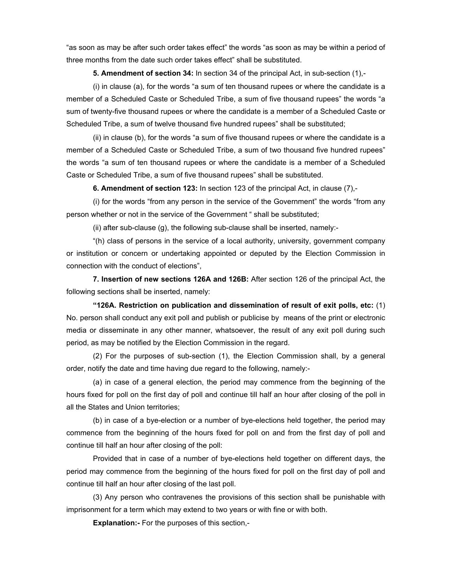"as soon as may be after such order takes effect" the words "as soon as may be within a period of three months from the date such order takes effect" shall be substituted.

**5. Amendment of section 34:** In section 34 of the principal Act, in sub-section (1),-

 (i) in clause (a), for the words "a sum of ten thousand rupees or where the candidate is a member of a Scheduled Caste or Scheduled Tribe, a sum of five thousand rupees" the words "a sum of twenty-five thousand rupees or where the candidate is a member of a Scheduled Caste or Scheduled Tribe, a sum of twelve thousand five hundred rupees" shall be substituted;

 (ii) in clause (b), for the words "a sum of five thousand rupees or where the candidate is a member of a Scheduled Caste or Scheduled Tribe, a sum of two thousand five hundred rupees" the words "a sum of ten thousand rupees or where the candidate is a member of a Scheduled Caste or Scheduled Tribe, a sum of five thousand rupees" shall be substituted.

**6. Amendment of section 123:** In section 123 of the principal Act, in clause (7),-

 (i) for the words "from any person in the service of the Government" the words "from any person whether or not in the service of the Government " shall be substituted;

(ii) after sub-clause (g), the following sub-clause shall be inserted, namely:-

 "(h) class of persons in the service of a local authority, university, government company or institution or concern or undertaking appointed or deputed by the Election Commission in connection with the conduct of elections",

**7. Insertion of new sections 126A and 126B:** After section 126 of the principal Act, the following sections shall be inserted, namely:

**"126A. Restriction on publication and dissemination of result of exit polls, etc:** (1) No. person shall conduct any exit poll and publish or publicise by means of the print or electronic media or disseminate in any other manner, whatsoever, the result of any exit poll during such period, as may be notified by the Election Commission in the regard.

 (2) For the purposes of sub-section (1), the Election Commission shall, by a general order, notify the date and time having due regard to the following, namely:-

 (a) in case of a general election, the period may commence from the beginning of the hours fixed for poll on the first day of poll and continue till half an hour after closing of the poll in all the States and Union territories;

 (b) in case of a bye-election or a number of bye-elections held together, the period may commence from the beginning of the hours fixed for poll on and from the first day of poll and continue till half an hour after closing of the poll:

 Provided that in case of a number of bye-elections held together on different days, the period may commence from the beginning of the hours fixed for poll on the first day of poll and continue till half an hour after closing of the last poll.

 (3) Any person who contravenes the provisions of this section shall be punishable with imprisonment for a term which may extend to two years or with fine or with both.

**Explanation:-** For the purposes of this section,-